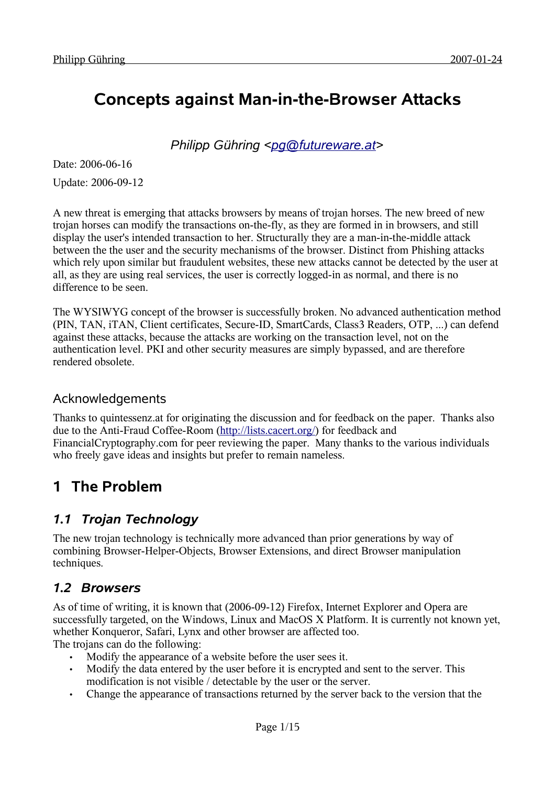# **Concepts against Man-in-the-Browser Attacks**

*Philipp Gühring [<pg@futureware.at](mailto:pg@futureware.at)>*

Date: 2006-06-16 Update: 2006-09-12

A new threat is emerging that attacks browsers by means of trojan horses. The new breed of new trojan horses can modify the transactions on-the-fly, as they are formed in in browsers, and still display the user's intended transaction to her. Structurally they are a man-in-the-middle attack between the the user and the security mechanisms of the browser. Distinct from Phishing attacks which rely upon similar but fraudulent websites, these new attacks cannot be detected by the user at all, as they are using real services, the user is correctly logged-in as normal, and there is no difference to be seen.

The WYSIWYG concept of the browser is successfully broken. No advanced authentication method (PIN, TAN, iTAN, Client certificates, Secure-ID, SmartCards, Class3 Readers, OTP, ...) can defend against these attacks, because the attacks are working on the transaction level, not on the authentication level. PKI and other security measures are simply bypassed, and are therefore rendered obsolete.

### Acknowledgements

Thanks to quintessenz.at for originating the discussion and for feedback on the paper. Thanks also due to the Anti-Fraud Coffee-Room ([http://lists.cacert.org/\)](http://lists.cacert.org/) for feedback and FinancialCryptography.com for peer reviewing the paper. Many thanks to the various individuals who freely gave ideas and insights but prefer to remain nameless.

## **1 The Problem**

### *1.1 Trojan Technology*

The new trojan technology is technically more advanced than prior generations by way of combining Browser-Helper-Objects, Browser Extensions, and direct Browser manipulation techniques.

### *1.2 Browsers*

As of time of writing, it is known that (2006-09-12) Firefox, Internet Explorer and Opera are successfully targeted, on the Windows, Linux and MacOS X Platform. It is currently not known yet, whether Konqueror, Safari, Lynx and other browser are affected too.

The trojans can do the following:

- Modify the appearance of a website before the user sees it.
- Modify the data entered by the user before it is encrypted and sent to the server. This modification is not visible / detectable by the user or the server.
- Change the appearance of transactions returned by the server back to the version that the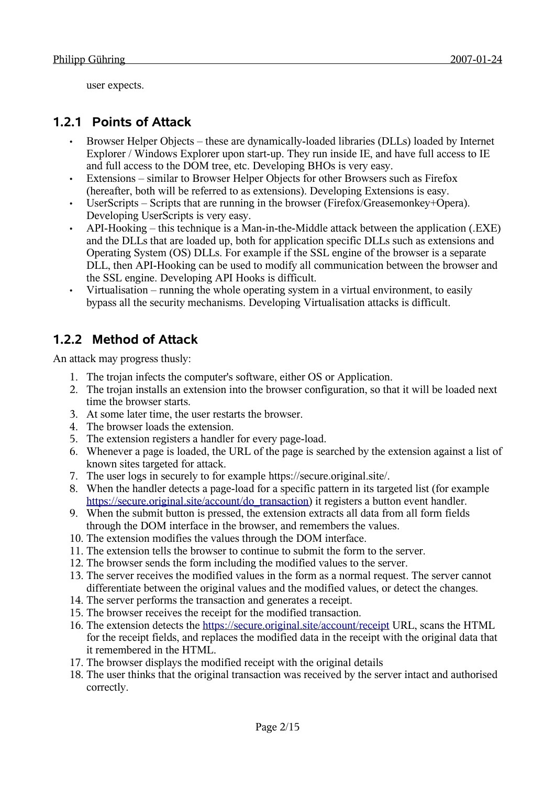user expects.

### **1.2.1 Points of Attack**

- Browser Helper Objects these are dynamically-loaded libraries (DLLs) loaded by Internet Explorer / Windows Explorer upon start-up. They run inside IE, and have full access to IE and full access to the DOM tree, etc. Developing BHOs is very easy.
- Extensions similar to Browser Helper Objects for other Browsers such as Firefox (hereafter, both will be referred to as extensions). Developing Extensions is easy.
- UserScripts Scripts that are running in the browser (Firefox/Greasemonkey+Opera). Developing UserScripts is very easy.
- API-Hooking this technique is a Man-in-the-Middle attack between the application (.EXE) and the DLLs that are loaded up, both for application specific DLLs such as extensions and Operating System (OS) DLLs. For example if the SSL engine of the browser is a separate DLL, then API-Hooking can be used to modify all communication between the browser and the SSL engine. Developing API Hooks is difficult.
- Virtualisation running the whole operating system in a virtual environment, to easily bypass all the security mechanisms. Developing Virtualisation attacks is difficult.

### **1.2.2 Method of Attack**

An attack may progress thusly:

- 1. The trojan infects the computer's software, either OS or Application.
- 2. The trojan installs an extension into the browser configuration, so that it will be loaded next time the browser starts.
- 3. At some later time, the user restarts the browser.
- 4. The browser loads the extension.
- 5. The extension registers a handler for every page-load.
- 6. Whenever a page is loaded, the URL of the page is searched by the extension against a list of known sites targeted for attack.
- 7. The user logs in securely to for example https://secure.original.site/.
- 8. When the handler detects a page-load for a specific pattern in its targeted list (for example [https://secure.original.site/account/do\\_transaction](http://onlinebanking.my-bank.com/login)) it registers a button event handler.
- 9. When the submit button is pressed, the extension extracts all data from all form fields through the DOM interface in the browser, and remembers the values.
- 10. The extension modifies the values through the DOM interface.
- 11. The extension tells the browser to continue to submit the form to the server.
- 12. The browser sends the form including the modified values to the server.
- 13. The server receives the modified values in the form as a normal request. The server cannot differentiate between the original values and the modified values, or detect the changes.
- 14. The server performs the transaction and generates a receipt.
- 15. The browser receives the receipt for the modified transaction.
- 16. The extension detects the <https://secure.original.site/account/receipt>URL, scans the HTML for the receipt fields, and replaces the modified data in the receipt with the original data that it remembered in the HTML.
- 17. The browser displays the modified receipt with the original details
- 18. The user thinks that the original transaction was received by the server intact and authorised correctly.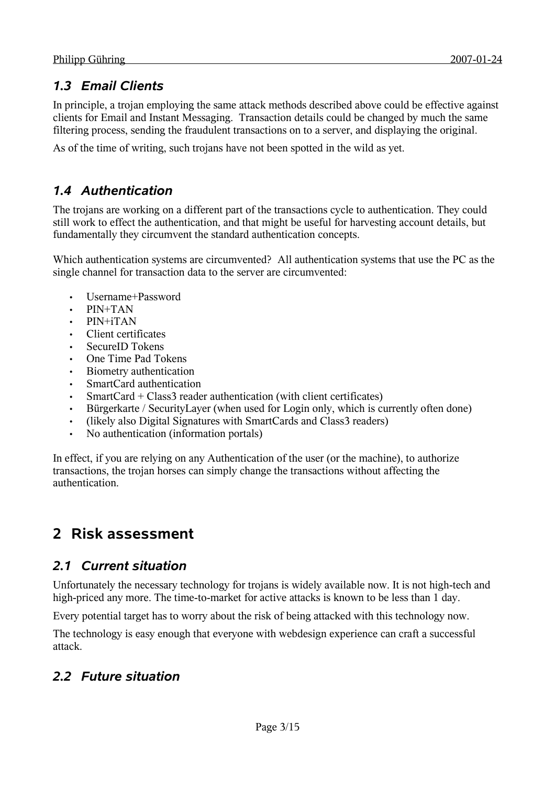### *1.3 Email Clients*

In principle, a trojan employing the same attack methods described above could be effective against clients for Email and Instant Messaging. Transaction details could be changed by much the same filtering process, sending the fraudulent transactions on to a server, and displaying the original.

As of the time of writing, such trojans have not been spotted in the wild as yet.

### *1.4 Authentication*

The trojans are working on a different part of the transactions cycle to authentication. They could still work to effect the authentication, and that might be useful for harvesting account details, but fundamentally they circumvent the standard authentication concepts.

Which authentication systems are circumvented? All authentication systems that use the PC as the single channel for transaction data to the server are circumvented:

- Username+Password
- PIN+TAN
- PIN+iTAN
- Client certificates
- SecureID Tokens
- One Time Pad Tokens
- Biometry authentication
- SmartCard authentication
- SmartCard + Class3 reader authentication (with client certificates)
- Bürgerkarte / SecurityLayer (when used for Login only, which is currently often done)
- (likely also Digital Signatures with SmartCards and Class3 readers)
- No authentication (information portals)

In effect, if you are relying on any Authentication of the user (or the machine), to authorize transactions, the trojan horses can simply change the transactions without affecting the authentication.

## **2 Risk assessment**

### *2.1 Current situation*

Unfortunately the necessary technology for trojans is widely available now. It is not high-tech and high-priced any more. The time-to-market for active attacks is known to be less than 1 day.

Every potential target has to worry about the risk of being attacked with this technology now.

The technology is easy enough that everyone with webdesign experience can craft a successful attack.

### *2.2 Future situation*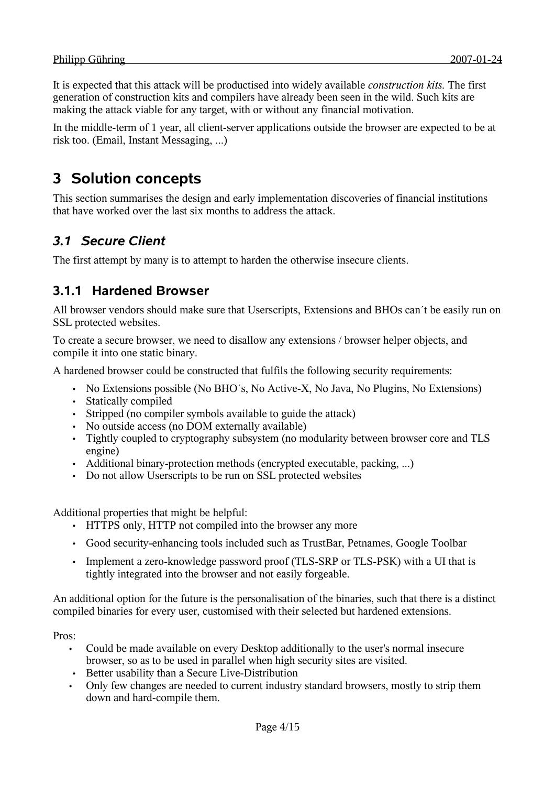It is expected that this attack will be productised into widely available *construction kits.* The first generation of construction kits and compilers have already been seen in the wild. Such kits are making the attack viable for any target, with or without any financial motivation.

In the middle-term of 1 year, all client-server applications outside the browser are expected to be at risk too. (Email, Instant Messaging, ...)

## **3 Solution concepts**

This section summarises the design and early implementation discoveries of financial institutions that have worked over the last six months to address the attack.

### *3.1 Secure Client*

The first attempt by many is to attempt to harden the otherwise insecure clients.

### **3.1.1 Hardened Browser**

All browser vendors should make sure that Userscripts, Extensions and BHOs can´t be easily run on SSL protected websites.

To create a secure browser, we need to disallow any extensions / browser helper objects, and compile it into one static binary.

A hardened browser could be constructed that fulfils the following security requirements:

- No Extensions possible (No BHO´s, No Active-X, No Java, No Plugins, No Extensions)
- Statically compiled
- Stripped (no compiler symbols available to guide the attack)
- No outside access (no DOM externally available)
- Tightly coupled to cryptography subsystem (no modularity between browser core and TLS engine)
- Additional binary-protection methods (encrypted executable, packing, ...)
- Do not allow Userscripts to be run on SSL protected websites

Additional properties that might be helpful:

- HTTPS only, HTTP not compiled into the browser any more
- Good security-enhancing tools included such as TrustBar, Petnames, Google Toolbar
- Implement a zero-knowledge password proof (TLS-SRP or TLS-PSK) with a UI that is tightly integrated into the browser and not easily forgeable.

An additional option for the future is the personalisation of the binaries, such that there is a distinct compiled binaries for every user, customised with their selected but hardened extensions.

Pros:

- Could be made available on every Desktop additionally to the user's normal insecure browser, so as to be used in parallel when high security sites are visited.
- Better usability than a Secure Live-Distribution
- Only few changes are needed to current industry standard browsers, mostly to strip them down and hard-compile them.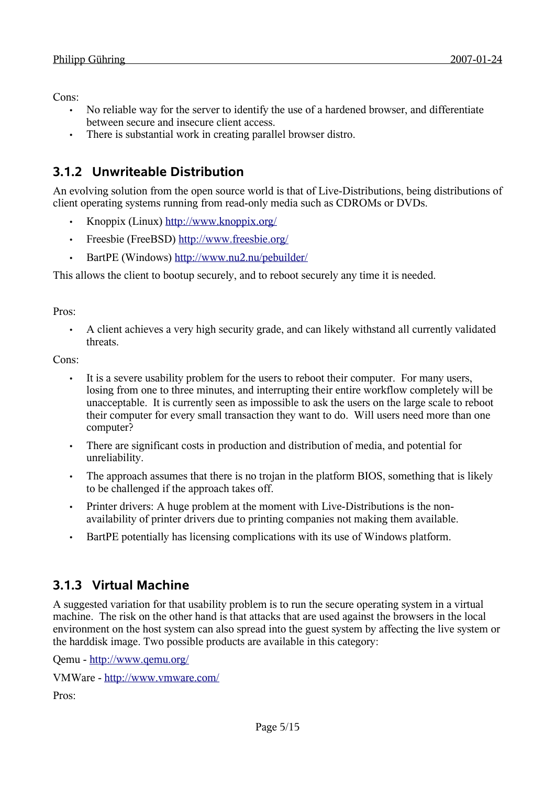Cons:

- No reliable way for the server to identify the use of a hardened browser, and differentiate between secure and insecure client access.
- There is substantial work in creating parallel browser distro.

## **3.1.2 Unwriteable Distribution**

An evolving solution from the open source world is that of Live-Distributions, being distributions of client operating systems running from read-only media such as CDROMs or DVDs.

- Knoppix (Linux) <http://www.knoppix.org/>
- Freesbie (FreeBSD) <http://www.freesbie.org/>
- BartPE (Windows)<http://www.nu2.nu/pebuilder/>

This allows the client to bootup securely, and to reboot securely any time it is needed.

Pros:

• A client achieves a very high security grade, and can likely withstand all currently validated threats.

Cons:

- It is a severe usability problem for the users to reboot their computer. For many users, losing from one to three minutes, and interrupting their entire workflow completely will be unacceptable. It is currently seen as impossible to ask the users on the large scale to reboot their computer for every small transaction they want to do. Will users need more than one computer?
- There are significant costs in production and distribution of media, and potential for unreliability.
- The approach assumes that there is no troian in the platform BIOS, something that is likely to be challenged if the approach takes off.
- Printer drivers: A huge problem at the moment with Live-Distributions is the nonavailability of printer drivers due to printing companies not making them available.
- BartPE potentially has licensing complications with its use of Windows platform.

### **3.1.3 Virtual Machine**

A suggested variation for that usability problem is to run the secure operating system in a virtual machine. The risk on the other hand is that attacks that are used against the browsers in the local environment on the host system can also spread into the guest system by affecting the live system or the harddisk image. Two possible products are available in this category:

Qemu - <http://www.qemu.org/>

VMWare - <http://www.vmware.com/>

Pros: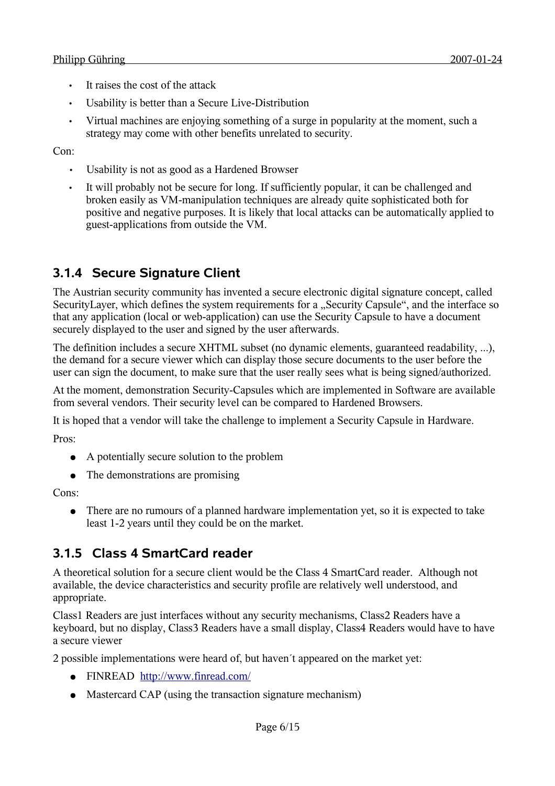- It raises the cost of the attack
- Usability is better than a Secure Live-Distribution
- Virtual machines are enjoying something of a surge in popularity at the moment, such a strategy may come with other benefits unrelated to security.

Con:

- Usability is not as good as a Hardened Browser
- It will probably not be secure for long. If sufficiently popular, it can be challenged and broken easily as VM-manipulation techniques are already quite sophisticated both for positive and negative purposes. It is likely that local attacks can be automatically applied to guest-applications from outside the VM.

### **3.1.4 Secure Signature Client**

The Austrian security community has invented a secure electronic digital signature concept, called SecurityLayer, which defines the system requirements for a "Security Capsule", and the interface so that any application (local or web-application) can use the Security Capsule to have a document securely displayed to the user and signed by the user afterwards.

The definition includes a secure XHTML subset (no dynamic elements, guaranteed readability, ...), the demand for a secure viewer which can display those secure documents to the user before the user can sign the document, to make sure that the user really sees what is being signed/authorized.

At the moment, demonstration Security-Capsules which are implemented in Software are available from several vendors. Their security level can be compared to Hardened Browsers.

It is hoped that a vendor will take the challenge to implement a Security Capsule in Hardware.

Pros:

- A potentially secure solution to the problem
- The demonstrations are promising

Cons:

● There are no rumours of a planned hardware implementation yet, so it is expected to take least 1-2 years until they could be on the market.

### **3.1.5 Class 4 SmartCard reader**

A theoretical solution for a secure client would be the Class 4 SmartCard reader. Although not available, the device characteristics and security profile are relatively well understood, and appropriate.

Class1 Readers are just interfaces without any security mechanisms, Class2 Readers have a keyboard, but no display, Class3 Readers have a small display, Class4 Readers would have to have a secure viewer

2 possible implementations were heard of, but haven´t appeared on the market yet:

- FINREAD <http://www.finread.com/>
- Mastercard CAP (using the transaction signature mechanism)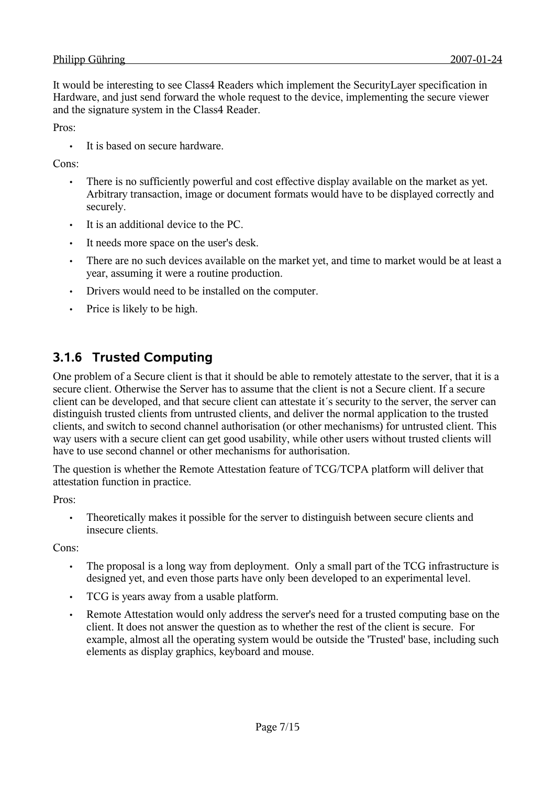It would be interesting to see Class4 Readers which implement the SecurityLayer specification in Hardware, and just send forward the whole request to the device, implementing the secure viewer and the signature system in the Class4 Reader.

Pros:

It is based on secure hardware.

Cons<sup>.</sup>

- There is no sufficiently powerful and cost effective display available on the market as yet. Arbitrary transaction, image or document formats would have to be displayed correctly and securely.
- It is an additional device to the PC.
- It needs more space on the user's desk.
- There are no such devices available on the market yet, and time to market would be at least a year, assuming it were a routine production.
- Drivers would need to be installed on the computer.
- Price is likely to be high.

### **3.1.6 Trusted Computing**

One problem of a Secure client is that it should be able to remotely attestate to the server, that it is a secure client. Otherwise the Server has to assume that the client is not a Secure client. If a secure client can be developed, and that secure client can attestate it´s security to the server, the server can distinguish trusted clients from untrusted clients, and deliver the normal application to the trusted clients, and switch to second channel authorisation (or other mechanisms) for untrusted client. This way users with a secure client can get good usability, while other users without trusted clients will have to use second channel or other mechanisms for authorisation.

The question is whether the Remote Attestation feature of TCG/TCPA platform will deliver that attestation function in practice.

Pros:

• Theoretically makes it possible for the server to distinguish between secure clients and insecure clients.

Cons:

- The proposal is a long way from deployment. Only a small part of the TCG infrastructure is designed yet, and even those parts have only been developed to an experimental level.
- TCG is years away from a usable platform.
- Remote Attestation would only address the server's need for a trusted computing base on the client. It does not answer the question as to whether the rest of the client is secure. For example, almost all the operating system would be outside the 'Trusted' base, including such elements as display graphics, keyboard and mouse.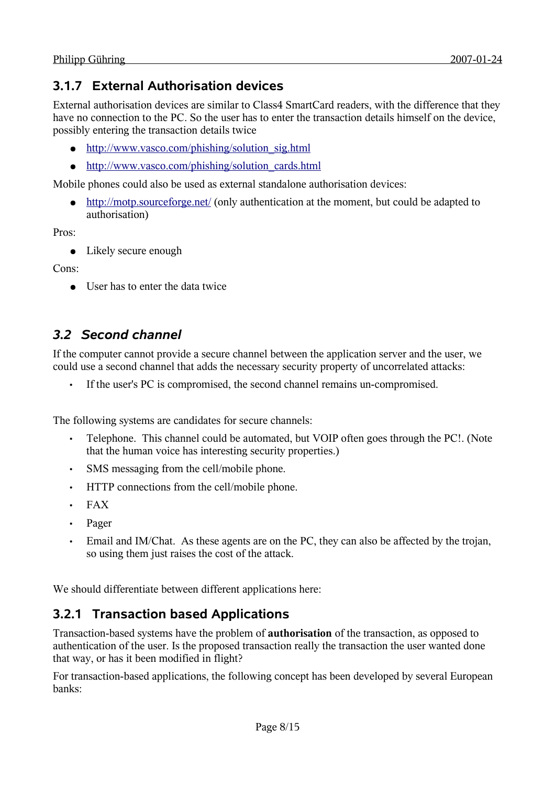### **3.1.7 External Authorisation devices**

External authorisation devices are similar to Class4 SmartCard readers, with the difference that they have no connection to the PC. So the user has to enter the transaction details himself on the device, possibly entering the transaction details twice

- [http://www.vasco.com/phishing/solution\\_sig.html](http://www.vasco.com/phishing/solution_sig.html)
- [http://www.vasco.com/phishing/solution\\_cards.html](http://www.vasco.com/phishing/solution_cards.html)

Mobile phones could also be used as external standalone authorisation devices:

• <http://motp.sourceforge.net/>(only authentication at the moment, but could be adapted to authorisation)

Pros:

● Likely secure enough

Cons:

● User has to enter the data twice

### *3.2 Second channel*

If the computer cannot provide a secure channel between the application server and the user, we could use a second channel that adds the necessary security property of uncorrelated attacks:

• If the user's PC is compromised, the second channel remains un-compromised.

The following systems are candidates for secure channels:

- Telephone. This channel could be automated, but VOIP often goes through the PC!. (Note that the human voice has interesting security properties.)
- SMS messaging from the cell/mobile phone.
- HTTP connections from the cell/mobile phone.
- FAX
- Pager
- Email and IM/Chat. As these agents are on the PC, they can also be affected by the trojan, so using them just raises the cost of the attack.

We should differentiate between different applications here:

### **3.2.1 Transaction based Applications**

Transaction-based systems have the problem of **authorisation** of the transaction, as opposed to authentication of the user. Is the proposed transaction really the transaction the user wanted done that way, or has it been modified in flight?

For transaction-based applications, the following concept has been developed by several European banks: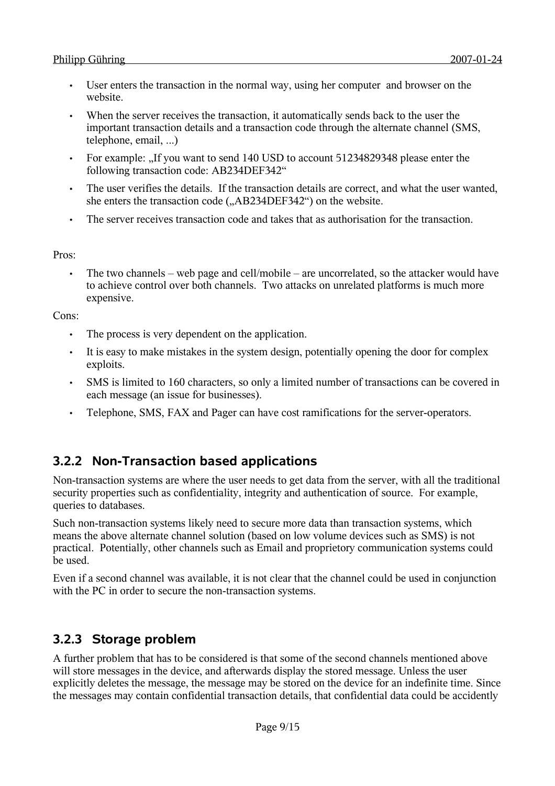- User enters the transaction in the normal way, using her computer and browser on the website.
- When the server receives the transaction, it automatically sends back to the user the important transaction details and a transaction code through the alternate channel (SMS, telephone, email, ...)
- For example: "If you want to send 140 USD to account 51234829348 please enter the following transaction code: AB234DEF342"
- The user verifies the details. If the transaction details are correct, and what the user wanted, she enters the transaction code (...AB234DEF342") on the website.
- The server receives transaction code and takes that as authorisation for the transaction.

#### Pros:

• The two channels – web page and cell/mobile – are uncorrelated, so the attacker would have to achieve control over both channels. Two attacks on unrelated platforms is much more expensive.

#### Cons:

- The process is very dependent on the application.
- It is easy to make mistakes in the system design, potentially opening the door for complex exploits.
- SMS is limited to 160 characters, so only a limited number of transactions can be covered in each message (an issue for businesses).
- Telephone, SMS, FAX and Pager can have cost ramifications for the server-operators.

### **3.2.2 Non-Transaction based applications**

Non-transaction systems are where the user needs to get data from the server, with all the traditional security properties such as confidentiality, integrity and authentication of source. For example, queries to databases.

Such non-transaction systems likely need to secure more data than transaction systems, which means the above alternate channel solution (based on low volume devices such as SMS) is not practical. Potentially, other channels such as Email and proprietory communication systems could be used.

Even if a second channel was available, it is not clear that the channel could be used in conjunction with the PC in order to secure the non-transaction systems.

### **3.2.3 Storage problem**

A further problem that has to be considered is that some of the second channels mentioned above will store messages in the device, and afterwards display the stored message. Unless the user explicitly deletes the message, the message may be stored on the device for an indefinite time. Since the messages may contain confidential transaction details, that confidential data could be accidently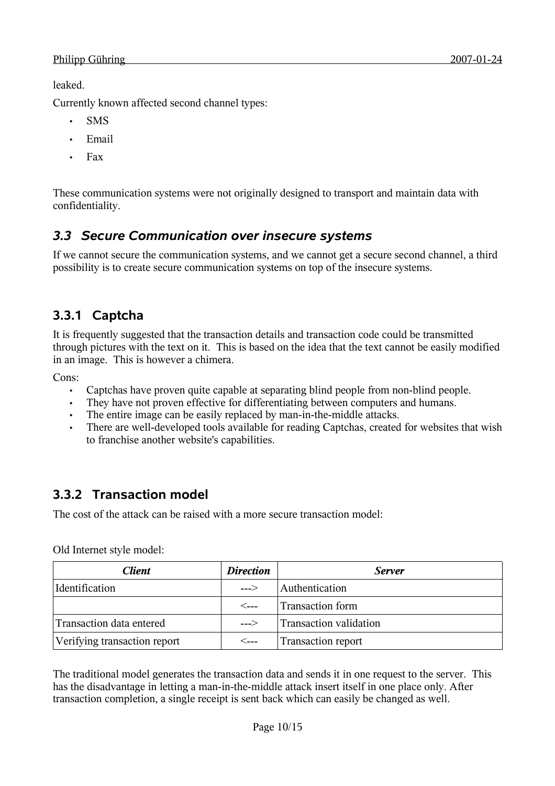leaked.

Currently known affected second channel types:

- SMS
- Email
- Fax

These communication systems were not originally designed to transport and maintain data with confidentiality.

### *3.3 Secure Communication over insecure systems*

If we cannot secure the communication systems, and we cannot get a secure second channel, a third possibility is to create secure communication systems on top of the insecure systems.

### **3.3.1 Captcha**

It is frequently suggested that the transaction details and transaction code could be transmitted through pictures with the text on it. This is based on the idea that the text cannot be easily modified in an image. This is however a chimera.

Cons:

- Captchas have proven quite capable at separating blind people from non-blind people.
- They have not proven effective for differentiating between computers and humans.
- The entire image can be easily replaced by man-in-the-middle attacks.
- There are well-developed tools available for reading Captchas, created for websites that wish to franchise another website's capabilities.

### **3.3.2 Transaction model**

The cost of the attack can be raised with a more secure transaction model:

| Client                       | <b>Direction</b> | <b>Server</b>             |
|------------------------------|------------------|---------------------------|
| Identification               | $---$            | Authentication            |
|                              | ⊂---             | <b>Transaction form</b>   |
| Transaction data entered     | --->             | Transaction validation    |
| Verifying transaction report | ⊂---             | <b>Transaction report</b> |

Old Internet style model:

The traditional model generates the transaction data and sends it in one request to the server. This has the disadvantage in letting a man-in-the-middle attack insert itself in one place only. After transaction completion, a single receipt is sent back which can easily be changed as well.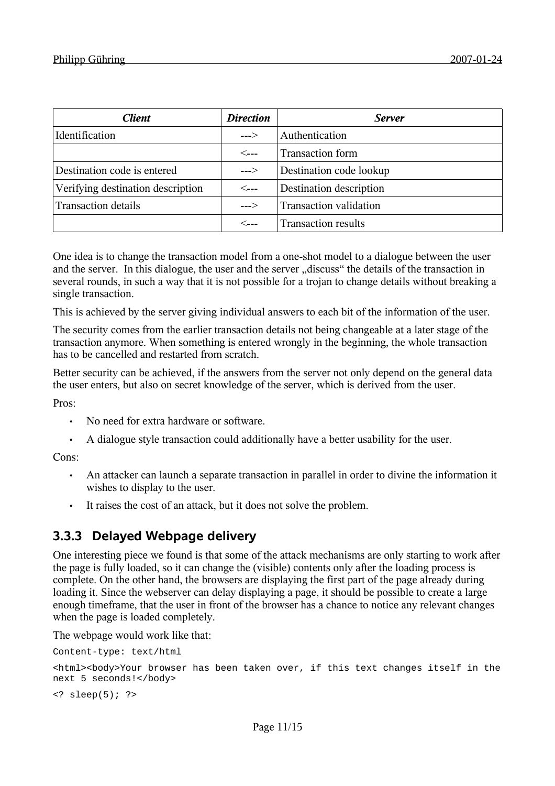| <b>Client</b>                     | <b>Direction</b>     | <b>Server</b>                 |
|-----------------------------------|----------------------|-------------------------------|
| Identification                    | $---$                | Authentication                |
|                                   | $\lt_{\texttt{---}}$ | Transaction form              |
| Destination code is entered       | $---$                | Destination code lookup       |
| Verifying destination description | $\leftarrow$ --      | Destination description       |
| <b>Transaction details</b>        | $---$                | <b>Transaction validation</b> |
|                                   | $\lt_{\texttt{---}}$ | <b>Transaction results</b>    |

One idea is to change the transaction model from a one-shot model to a dialogue between the user and the server. In this dialogue, the user and the server "discuss" the details of the transaction in several rounds, in such a way that it is not possible for a trojan to change details without breaking a single transaction.

This is achieved by the server giving individual answers to each bit of the information of the user.

The security comes from the earlier transaction details not being changeable at a later stage of the transaction anymore. When something is entered wrongly in the beginning, the whole transaction has to be cancelled and restarted from scratch.

Better security can be achieved, if the answers from the server not only depend on the general data the user enters, but also on secret knowledge of the server, which is derived from the user.

Pros:

- No need for extra hardware or software.
- A dialogue style transaction could additionally have a better usability for the user.

Cons<sup>.</sup>

- An attacker can launch a separate transaction in parallel in order to divine the information it wishes to display to the user.
- It raises the cost of an attack, but it does not solve the problem.

### **3.3.3 Delayed Webpage delivery**

One interesting piece we found is that some of the attack mechanisms are only starting to work after the page is fully loaded, so it can change the (visible) contents only after the loading process is complete. On the other hand, the browsers are displaying the first part of the page already during loading it. Since the webserver can delay displaying a page, it should be possible to create a large enough timeframe, that the user in front of the browser has a chance to notice any relevant changes when the page is loaded completely.

The webpage would work like that:

Content-type: text/html

<html><body>Your browser has been taken over, if this text changes itself in the next 5 seconds!</body>

 $\langle ? \text{sleep}(5); ? \rangle$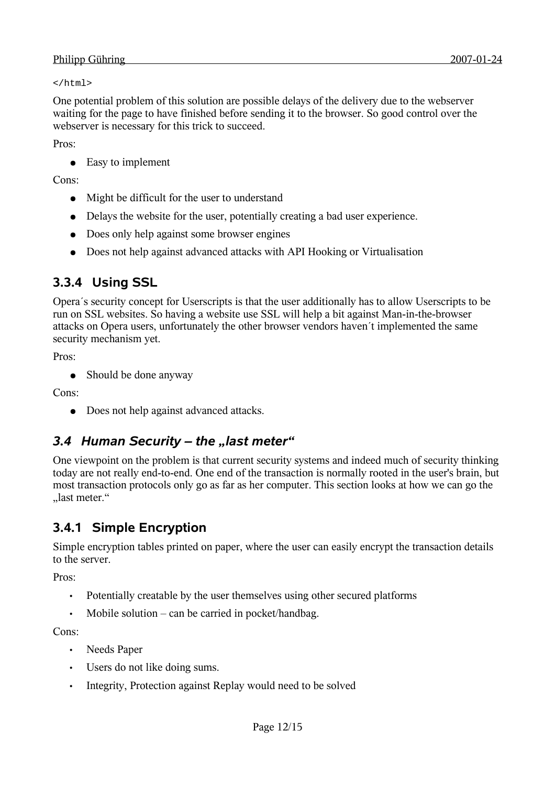</html>

One potential problem of this solution are possible delays of the delivery due to the webserver waiting for the page to have finished before sending it to the browser. So good control over the webserver is necessary for this trick to succeed.

Pros:

● Easy to implement

Cons:

- Might be difficult for the user to understand
- Delays the website for the user, potentially creating a bad user experience.
- Does only help against some browser engines
- Does not help against advanced attacks with API Hooking or Virtualisation

### **3.3.4 Using SSL**

Opera´s security concept for Userscripts is that the user additionally has to allow Userscripts to be run on SSL websites. So having a website use SSL will help a bit against Man-in-the-browser attacks on Opera users, unfortunately the other browser vendors haven´t implemented the same security mechanism yet.

Pros:

• Should be done anyway

Cons:

• Does not help against advanced attacks.

### *3.4 Human Security – the "last meter"*

One viewpoint on the problem is that current security systems and indeed much of security thinking today are not really end-to-end. One end of the transaction is normally rooted in the user's brain, but most transaction protocols only go as far as her computer. This section looks at how we can go the "last meter."

### **3.4.1 Simple Encryption**

Simple encryption tables printed on paper, where the user can easily encrypt the transaction details to the server.

Pros:

- Potentially creatable by the user themselves using other secured platforms
- Mobile solution can be carried in pocket/handbag.

Cons:

- Needs Paper
- Users do not like doing sums.
- Integrity, Protection against Replay would need to be solved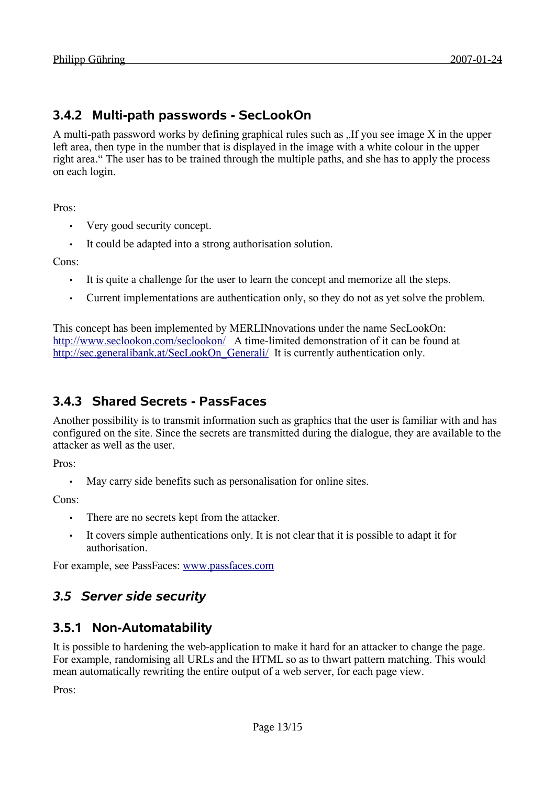### **3.4.2 Multi-path passwords - SecLookOn**

A multi-path password works by defining graphical rules such as  $\Lambda$  If you see image X in the upper left area, then type in the number that is displayed in the image with a white colour in the upper right area." The user has to be trained through the multiple paths, and she has to apply the process on each login.

Pros:

- Very good security concept.
- It could be adapted into a strong authorisation solution.

Cons:

- It is quite a challenge for the user to learn the concept and memorize all the steps.
- Current implementations are authentication only, so they do not as yet solve the problem.

This concept has been implemented by MERLINnovations under the name SecLookOn: <http://www.seclookon.com/seclookon/> A time-limited demonstration of it can be found at [http://sec.generalibank.at/SecLookOn\\_Generali/](http://sec.generalibank.at/SecLookOn_Generali/) It is currently authentication only.

### **3.4.3 Shared Secrets - PassFaces**

Another possibility is to transmit information such as graphics that the user is familiar with and has configured on the site. Since the secrets are transmitted during the dialogue, they are available to the attacker as well as the user.

Pros:

• May carry side benefits such as personalisation for online sites.

Cons:

- There are no secrets kept from the attacker.
- It covers simple authentications only. It is not clear that it is possible to adapt it for authorisation.

For example, see PassFaces: [www.passfaces.com](file:///home/philipp/svn/sourcerer/CAcert/www.passfaces.com)

### *3.5 Server side security*

### **3.5.1 Non-Automatability**

It is possible to hardening the web-application to make it hard for an attacker to change the page. For example, randomising all URLs and the HTML so as to thwart pattern matching. This would mean automatically rewriting the entire output of a web server, for each page view.

Pros: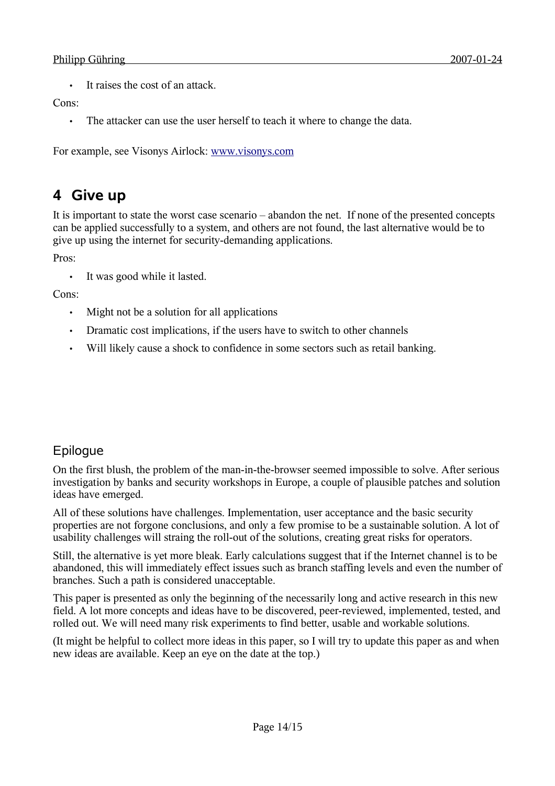• It raises the cost of an attack.

#### Cons<sup>.</sup>

• The attacker can use the user herself to teach it where to change the data.

For example, see Visonys Airlock: [www.visonys.com](http://www.visonys.com/)

## **4 Give up**

It is important to state the worst case scenario – abandon the net. If none of the presented concepts can be applied successfully to a system, and others are not found, the last alternative would be to give up using the internet for security-demanding applications.

Pros:

It was good while it lasted.

Cons:

- Might not be a solution for all applications
- Dramatic cost implications, if the users have to switch to other channels
- Will likely cause a shock to confidence in some sectors such as retail banking.

### Epilogue

On the first blush, the problem of the man-in-the-browser seemed impossible to solve. After serious investigation by banks and security workshops in Europe, a couple of plausible patches and solution ideas have emerged.

All of these solutions have challenges. Implementation, user acceptance and the basic security properties are not forgone conclusions, and only a few promise to be a sustainable solution. A lot of usability challenges will straing the roll-out of the solutions, creating great risks for operators.

Still, the alternative is yet more bleak. Early calculations suggest that if the Internet channel is to be abandoned, this will immediately effect issues such as branch staffing levels and even the number of branches. Such a path is considered unacceptable.

This paper is presented as only the beginning of the necessarily long and active research in this new field. A lot more concepts and ideas have to be discovered, peer-reviewed, implemented, tested, and rolled out. We will need many risk experiments to find better, usable and workable solutions.

(It might be helpful to collect more ideas in this paper, so I will try to update this paper as and when new ideas are available. Keep an eye on the date at the top.)